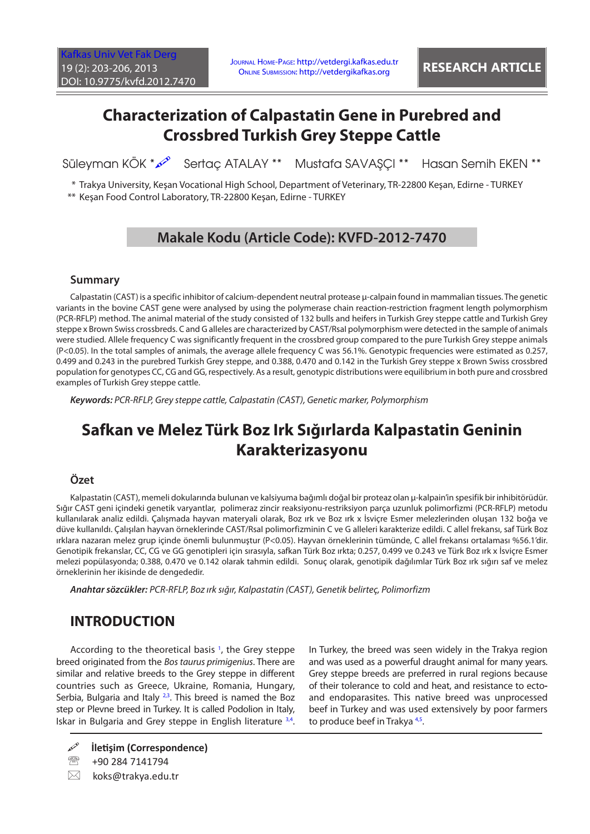# **Characterization of Calpastatin Gene in Purebred and Crossbred Turkish Grey Steppe Cattle**

Süleyman KÖK \*  $\infty$  Sertaç ATALAY \*\* Mustafa SAVAŞÇI \*\* Hasan Semih EKEN \*\*

\* Trakya University, Keşan Vocational High School, Department of Veterinary, TR-22800 Keşan, Edirne - TURKEY \*\* Keşan Food Control Laboratory, TR-22800 Keşan, Edirne - TURKEY

## **Makale Kodu (Article Code): KVFD-2012-7470**

#### **Summary**

Calpastatin (CAST) is a specific inhibitor of calcium-dependent neutral protease μ-calpain found in mammalian tissues. The genetic variants in the bovine CAST gene were analysed by using the polymerase chain reaction-restriction fragment length polymorphism (PCR-RFLP) method. The animal material of the study consisted of 132 bulls and heifers in Turkish Grey steppe cattle and Turkish Grey steppe x Brown Swiss crossbreds. C and G alleles are characterized by CAST/RsaI polymorphism were detected in the sample of animals were studied. Allele frequency C was significantly frequent in the crossbred group compared to the pure Turkish Grey steppe animals (P<0.05). In the total samples of animals, the average allele frequency C was 56.1%. Genotypic frequencies were estimated as 0.257, 0.499 and 0.243 in the purebred Turkish Grey steppe, and 0.388, 0.470 and 0.142 in the Turkish Grey steppe x Brown Swiss crossbred population for genotypes CC, CG and GG, respectively. As a result, genotypic distributions were equilibrium in both pure and crossbred examples of Turkish Grey steppe cattle.

*Keywords: PCR-RFLP, Grey steppe cattle, Calpastatin (CAST), Genetic marker, Polymorphism*

# **Safkan ve Melez Türk Boz Irk Sığırlarda Kalpastatin Geninin Karakterizasyonu**

#### **Özet**

Kalpastatin (CAST), memeli dokularında bulunan ve kalsiyuma bağımlı doğal bir proteaz olan μ-kalpain'in spesifik bir inhibitörüdür. Sığır CAST geni içindeki genetik varyantlar, polimeraz zincir reaksiyonu-restriksiyon parça uzunluk polimorfizmi (PCR-RFLP) metodu kullanılarak analiz edildi. Çalışmada hayvan materyali olarak, Boz ırk ve Boz ırk x İsviçre Esmer melezlerinden oluşan 132 boğa ve düve kullanıldı. Çalışılan hayvan örneklerinde CAST/RsaI polimorfizminin C ve G alleleri karakterize edildi. C allel frekansı, saf Türk Boz ırklara nazaran melez grup içinde önemli bulunmuştur (P<0.05). Hayvan örneklerinin tümünde, C allel frekansı ortalaması %56.1'dir. Genotipik frekanslar, CC, CG ve GG genotipleri için sırasıyla, safkan Türk Boz ırkta; 0.257, 0.499 ve 0.243 ve Türk Boz ırk x İsviçre Esmer melezi popülasyonda; 0.388, 0.470 ve 0.142 olarak tahmin edildi. Sonuç olarak, genotipik dağılımlar Türk Boz ırk sığırı saf ve melez örneklerinin her ikisinde de dengededir.

*Anahtar sözcükler: PCR-RFLP, Boz ırk sığır, Kalpastatin (CAST), Genetik belirteç, Polimorfizm*

## **INTRODUCTION**

According to the theoretical basis<sup>[1](#page-3-0)</sup>, the Grey steppe breed originated from the *Bos taurus primigenius*. There are similar and relative breeds to the Grey steppe in different countries such as Greece, Ukraine, Romania, Hungary, Serbia, Bulgaria and Italy  $2,3$ . This breed is named the Boz step or Plevne breed in Turkey. It is called Podolion in Italy, Iskar in Bulgaria and Grey steppe in English literature [3,4.](#page-3-0) 

In Turkey, the breed was seen widely in the Trakya region and was used as a powerful draught animal for many years. Grey steppe breeds are preferred in rural regions because of their tolerance to cold and heat, and resistance to ectoand endoparasites. This native breed was unprocessed beef in Turkey and was used extensively by poor farmers to produce beef in Trakya<sup>4,5</sup>.

**İletişim (Correspondence)**

<sup>&</sup>lt;sup>2</sup> +90 284 7141794

 $\boxtimes$  koks@trakya.edu.tr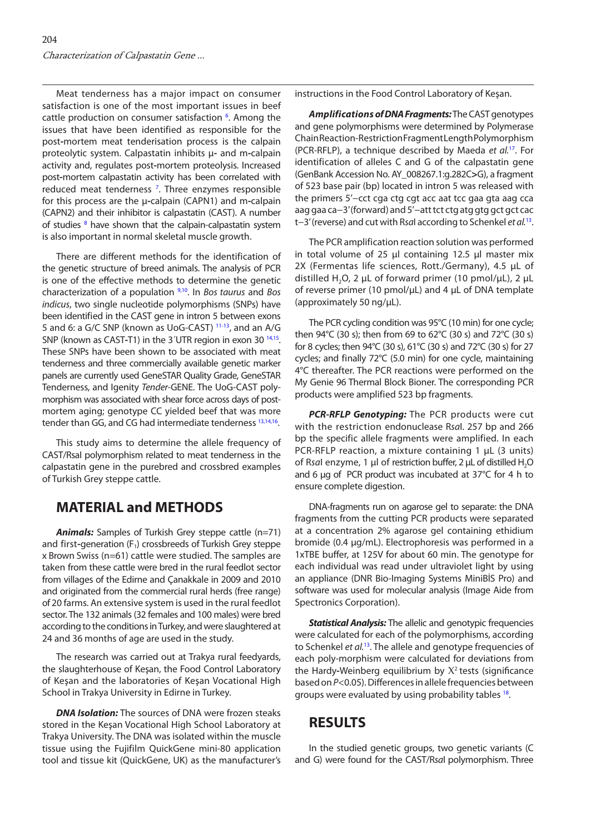<span id="page-1-0"></span>Meat tenderness has a major impact on consumer satisfaction is one of the most important issues in beef cattle production on consumer satisfaction <sup>6</sup>[.](#page-3-0) Among the issues that have been identified as responsible for the post**-**mortem meat tenderisation process is the calpain proteolytic system. Calpastatin inhibits μ**-** and m**-**calpain activity and, regulates post**-**mortem proteolysis. Increased post**-**mortem calpastatin activity has been correlated with reduced meat tenderness<sup>[7](#page-3-0)</sup>. Three enzymes responsible for this process are the μ**-**calpain (CAPN1) and m**-**calpain (CAPN2) and their inhibitor is calpastatin (CAST). A number of studies <sup>[8](#page-3-0)</sup> have shown that the calpain-calpastatin system is also important in normal skeletal muscle growth.

There are different methods for the identification of the genetic structure of breed animals. The analysis of PCR is one of the effective methods to determine the genetic characterization of a population [9,10.](#page-3-0) In *Bos taurus* and *Bos indicus*, two single nucleotide polymorphisms (SNPs) have been identified in the CAST gene in intron 5 between exons 5 and 6: a G/C SNP (known as UoG-CAST) [11-13,](#page-3-0) and an A/G SNP (known as CAST-T1) in the 3<sup>'</sup>UTR region in exon 30<sup>14,15</sup>. These SNPs have been shown to be associated with meat tenderness and three commercially available genetic marker panels are currently used GeneSTAR Quality Grade, GeneSTAR Tenderness, and Igenity *Tender-*GENE. The UoG-CAST polymorphism was associated with shear force across days of postmortem aging; genotype CC yielded beef that was more tender than GG, and CG had intermediate tenderness<sup>13,14,16</sup>.

This study aims to determine the allele frequency of CAST/RsaI polymorphism related to meat tenderness in the calpastatin gene in the purebred and crossbred examples of Turkish Grey steppe cattle.

## **MATERIAL and METHODS**

*Animals:* Samples of Turkish Grey steppe cattle (n=71) and first-generation (F<sub>1</sub>) crossbreeds of Turkish Grey steppe x Brown Swiss (n=61) cattle were studied. The samples are taken from these cattle were bred in the rural feedlot sector from villages of the Edirne and Çanakkale in 2009 and 2010 and originated from the commercial rural herds (free range) of 20 farms. An extensive system is used in the rural feedlot sector. The 132 animals (32 females and 100 males) were bred according to the conditions in Turkey, and were slaughtered at 24 and 36 months of age are used in the study.

The research was carried out at Trakya rural feedyards, the slaughterhouse of Keşan, the Food Control Laboratory of Keşan and the laboratories of Keşan Vocational High School in Trakya University in Edirne in Turkey.

**DNA Isolation:** The sources of DNA were frozen steaks stored in the Keşan Vocational High School Laboratory at Trakya University. The DNA was isolated within the muscle tissue using the Fujifilm QuickGene mini-80 application tool and tissue kit (QuickGene, UK) as the manufacturer's

instructions in the Food Control Laboratory of Keşan.

*Amplifications of DNA Fragments:* The CAST genotypes and gene polymorphisms were determined by Polymerase Chain Reaction-Restriction Fragment Length Polymorphism (PCR-RFLP), a technique described by Maeda *et al.*[17.](#page-3-0) For identification of alleles C and G of the calpastatin gene (GenBank Accession No. AY\_008267.1:g.282C**>**G), a fragment of 523 base pair (bp) located in intron 5 was released with the primers 5'−cct cga ctg cgt acc aat tcc gaa gta aag cca aag gaa ca−3' (forward) and 5'−att tct ctg atg gtg gct gct cac t−3' (reverse) and cut with R*sa*I according to Schenkel *et al.*[13.](#page-3-0)

The PCR amplification reaction solution was performed in total volume of 25  $\mu$ l containing 12.5  $\mu$ l master mix 2X (Fermentas life sciences, Rott./Germany), 4.5 μL of distilled H<sub>2</sub>O, 2 μL of forward primer (10 pmol/μL), 2 μL of reverse primer (10 pmol/μL) and 4 μL of DNA template (approximately 50 ng/μL).

The PCR cycling condition was 95°C (10 min) for one cycle; then 94°C (30 s); then from 69 to 62°C (30 s) and 72°C (30 s) for 8 cycles; then 94°C (30 s), 61°C (30 s) and 72°C (30 s) for 27 cycles; and finally 72°C (5.0 min) for one cycle, maintaining 4°C thereafter. The PCR reactions were performed on the My Genie 96 Thermal Block Bioner. The corresponding PCR products were amplified 523 bp fragments.

*PCR-RFLP Genotyping:* The PCR products were cut with the restriction endonuclease R*sa*I. 257 bp and 266 bp the specific allele fragments were amplified. In each PCR-RFLP reaction, a mixture containing 1 μL (3 units) of Rsal enzyme, 1 μl of restriction buffer, 2 μL of distilled H<sub>2</sub>O and 6 μg of PCR product was incubated at 37°C for 4 h to ensure complete digestion.

DNA-fragments run on agarose gel to separate: the DNA fragments from the cutting PCR products were separated at a concentration 2% agarose gel containing ethidium bromide (0.4 μg/mL). Electrophoresis was performed in a 1xTBE buffer, at 125V for about 60 min. The genotype for each individual was read under ultraviolet light by using an appliance (DNR Bio-Imaging Systems MiniBİS Pro) and software was used for molecular analysis (Image Aide from Spectronics Corporation).

*Statistical Analysis:* The allelic and genotypic frequencies were calculated for each of the polymorphisms, according to Schenkel *et al.*[13.](#page-3-0) The allele and genotype frequencies of each poly-morphism were calculated for deviations from the Hardy-Weinberg equilibrium by  $X^2$  tests (significance based on *P*<0.05). Differences in allele frequencies between groups were evaluated by using probability tables [18.](#page-3-0) 

#### **RESULTS**

In the studied genetic groups, two genetic variants (C and G) were found for the CAST/R*sa*I polymorphism. Three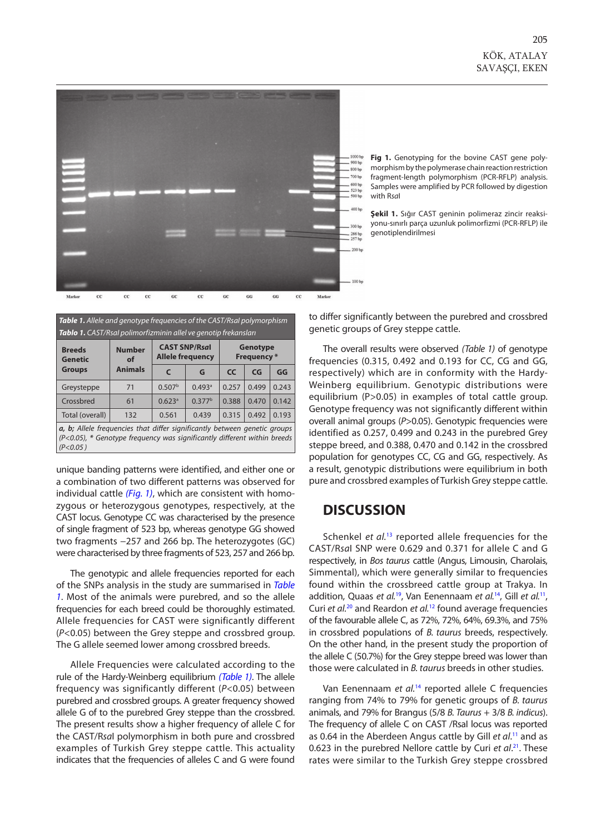

**Fig 1.** Genotyping for the bovine CAST gene polymorphism by the polymerase chain reaction restriction fragment-length polymorphism (PCR-RFLP) analysis. Samples were amplified by PCR followed by digestion with R*sa*I

**Şekil 1.** Sığır CAST geninin polimeraz zincir reaksiyonu-sınırlı parça uzunluk polimorfizmi (PCR-RFLP) ile genotiplendirilmesi

| <b>Table 1.</b> Allele and genotype frequencies of the CAST/Rsal polymorphism |  |
|-------------------------------------------------------------------------------|--|
|-------------------------------------------------------------------------------|--|

| Tablo 1. CAST/Rsal polimorfizminin allel ve genotip frekanslari           |                                       |                                                 |                      |                                       |       |       |  |  |
|---------------------------------------------------------------------------|---------------------------------------|-------------------------------------------------|----------------------|---------------------------------------|-------|-------|--|--|
| <b>Breeds</b><br><b>Genetic</b><br><b>Groups</b>                          | <b>Number</b><br>of<br><b>Animals</b> | <b>CAST SNP/Rsal</b><br><b>Allele frequency</b> |                      | <b>Genotype</b><br><b>Frequency</b> * |       |       |  |  |
|                                                                           |                                       | $\epsilon$                                      | G                    | <b>CC</b>                             | CG    | GG    |  |  |
| Greysteppe                                                                | 71                                    | 0.507 <sup>b</sup>                              | $0.493$ <sup>a</sup> | 0.257                                 | 0.499 | 0.243 |  |  |
| Crossbred                                                                 | 61                                    | 0.623a                                          | 0.377 <sup>b</sup>   | 0.388                                 | 0.470 | 0.142 |  |  |
| Total (overall)                                                           | 132                                   | 0.561                                           | 0.439                | 0.315                                 | 0.492 | 0.193 |  |  |
| a, b; Allele frequencies that differ significantly between genetic groups |                                       |                                                 |                      |                                       |       |       |  |  |
| (P<0.05), * Genotype frequency was significantly different within breeds  |                                       |                                                 |                      |                                       |       |       |  |  |
| (P<0.05)                                                                  |                                       |                                                 |                      |                                       |       |       |  |  |

unique banding patterns were identified, and either one or a combination of two different patterns was observed for individual cattle *(Fig. 1)*, which are consistent with homozygous or heterozygous genotypes, respectively, at the CAST locus. Genotype CC was characterised by the presence of single fragment of 523 bp, whereas genotype GG showed two fragments −257 and 266 bp. The heterozygotes (GC) were characterised by three fragments of 523, 257 and 266 bp.

The genotypic and allele frequencies reported for each of the SNPs analysis in the study are summarised in *Table 1*. Most of the animals were purebred, and so the allele frequencies for each breed could be thoroughly estimated. Allele frequencies for CAST were significantly different (*P*<0.05) between the Grey steppe and crossbred group. The G allele seemed lower among crossbred breeds.

Allele Frequencies were calculated according to the rule of the Hardy-Weinberg equilibrium *(Table 1)*. The allele frequency was significantly different (*P<*0.05) between purebred and crossbred groups. A greater frequency showed allele G of to the purebred Grey steppe than the crossbred. The present results show a higher frequency of allele C for the CAST/R*sa*I polymorphism in both pure and crossbred examples of Turkish Grey steppe cattle. This actuality indicates that the frequencies of alleles C and G were found to differ significantly between the purebred and crossbred genetic groups of Grey steppe cattle.

The overall results were observed *(Table 1)* of genotype frequencies (0.315, 0.492 and 0.193 for CC, CG and GG, respectively) which are in conformity with the Hardy-Weinberg equilibrium. Genotypic distributions were equilibrium (P>0.05) in examples of total cattle group. Genotype frequency was not significantly different within overall animal groups (*P*>0.05). Genotypic frequencies were identified as 0.257, 0.499 and 0.243 in the purebred Grey steppe breed, and 0.388, 0.470 and 0.142 in the crossbred population for genotypes CC, CG and GG, respectively. As a result, genotypic distributions were equilibrium in both pure and crossbred examples of Turkish Grey steppe cattle.

#### **DISCUSSION**

Schenkel *et al.*<sup>[13](#page-3-0)</sup> reported allele frequencies for the CAST/R*sa*I SNP were 0.629 and 0.371 for allele C and G respectively, in *Bos taurus* cattle (Angus, Limousin, Charolais, Simmental), which were generally similar to frequencies found within the crossbreed cattle group at Trakya. In addition, Quaas *et al.*[19,](#page-3-0) Van Eenennaam *et al.*[14,](#page-3-0) Gill *et al.*[11,](#page-3-0)  Curi *et al.*[20](#page-3-0) and Reardon *et al.*[12](#page-3-0) found average frequencies of the favourable allele C, as 72%, 72%, 64%, 69.3%, and 75% in crossbred populations of *B. taurus* breeds, respectively. On the other hand, in the present study the proportion of the allele C (50.7%) for the Grey steppe breed was lower than those were calculated in *B. taurus* breeds in other studies.

Van Eenennaam *et al.*[14](#page-3-0) reported allele C frequencies ranging from 74% to 79% for genetic groups of *B. taurus* animals, and 79% for Brangus (5/8 *B. Taurus* + 3/8 *B. indicus*). The frequency of allele C on CAST /RsaI locus was reported as 0.64 in the Aberdeen Angus cattle by Gill *et al*. [11](#page-3-0) and as 0.623 in the purebred Nellore cattle by Curi *et al*. [21.](#page-3-0) These rates were similar to the Turkish Grey steppe crossbred